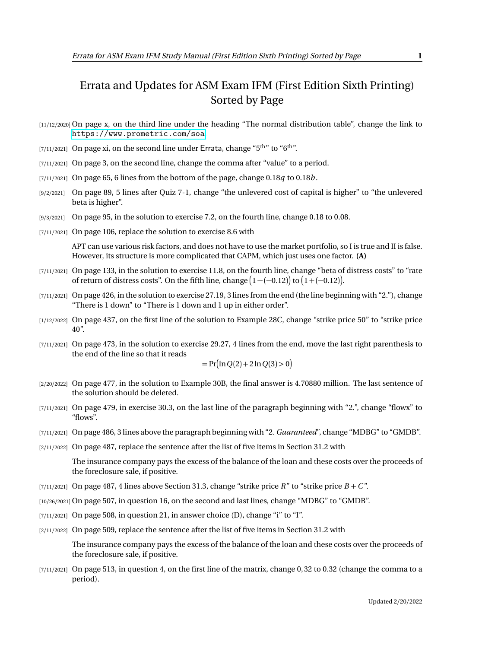## Errata and Updates for ASM Exam IFM (First Edition Sixth Printing) Sorted by Page

- [11/12/2020] On page x, on the third line under the heading "The normal distribution table", change the link to <https://www.prometric.com/soa>.
- [7/11/2021] On page xi, on the second line under Errata, change " $5<sup>th</sup>$ " to " $6<sup>th</sup>$ ".
- $[7/11/2021]$  On page 3, on the second line, change the comma after "value" to a period.
- [7/11/2021] On page 65, 6 lines from the bottom of the page, change 0.18*q* to 0.18*b* .
- [9/2/2021] On page 89, 5 lines after Quiz 7-1, change "the unlevered cost of capital is higher" to "the unlevered beta is higher".
- [9/3/2021] On page 95, in the solution to exercise 7.2, on the fourth line, change 0.18 to 0.08.
- [7/11/2021] On page 106, replace the solution to exercise 8.6 with

APT can use various risk factors, and does not have to use the market portfolio, so I is true and II is false. However, its structure is more complicated that CAPM, which just uses one factor. **(A)**

- [7/11/2021] On page 133, in the solution to exercise 11.8, on the fourth line, change "beta of distress costs" to "rate of return of distress costs". On the fifth line, change  $\big(1-(-0.12)\big)$  to  $\big(1+(-0.12)\big)$ .
- [7/11/2021] On page 426, in the solution to exercise 27.19, 3 lines from the end (the line beginning with "2."), change "There is 1 down" to "There is 1 down and 1 up in either order".
- [1/12/2022] On page 437, on the first line of the solution to Example 28C, change "strike price 50" to "strike price 40".
- [7/11/2021] On page 473, in the solution to exercise 29.27, 4 lines from the end, move the last right parenthesis to the end of the line so that it reads

$$
= \Pr(\ln Q(2) + 2\ln Q(3) > 0)
$$

- [2/20/2022] On page 477, in the solution to Example 30B, the final answer is 4.70880 million. The last sentence of the solution should be deleted.
- [7/11/2021] On page 479, in exercise 30.3, on the last line of the paragraph beginning with "2.", change "flowx" to "flows".
- [7/11/2021] On page 486, 3 lines above the paragraph beginning with "2. *Guaranteed*", change "MDBG" to "GMDB".
- [2/11/2022] On page 487, replace the sentence after the list of five items in Section 31.2 with

The insurance company pays the excess of the balance of the loan and these costs over the proceeds of the foreclosure sale, if positive.

- [7/11/2021] On page 487, 4 lines above Section 31.3, change "strike price  $R$ " to "strike price  $B + C$ ".
- [10/26/2021] On page 507, in question 16, on the second and last lines, change "MDBG" to "GMDB".
- $[7/11/2021]$  On page 508, in question 21, in answer choice (D), change "i" to "I".
- [2/11/2022] On page 509, replace the sentence after the list of five items in Section 31.2 with

The insurance company pays the excess of the balance of the loan and these costs over the proceeds of the foreclosure sale, if positive.

[7/11/2021] On page 513, in question 4, on the first line of the matrix, change 0, 32 to 0.32 (change the comma to a period).